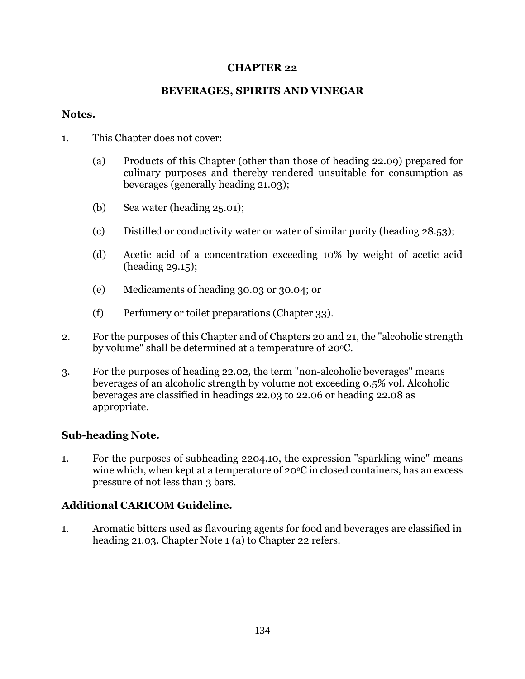### **CHAPTER 22**

## **BEVERAGES, SPIRITS AND VINEGAR**

#### **Notes.**

- 1. This Chapter does not cover:
	- (a) Products of this Chapter (other than those of heading 22.09) prepared for culinary purposes and thereby rendered unsuitable for consumption as beverages (generally heading 21.03);
	- (b) Sea water (heading 25.01);
	- (c) Distilled or conductivity water or water of similar purity (heading 28.53);
	- (d) Acetic acid of a concentration exceeding 10% by weight of acetic acid (heading 29.15);
	- (e) Medicaments of heading 30.03 or 30.04; or
	- (f) Perfumery or toilet preparations (Chapter 33).
- 2. For the purposes of this Chapter and of Chapters 20 and 21, the "alcoholic strength by volume" shall be determined at a temperature of  $20^{\circ}$ C.
- 3. For the purposes of heading 22.02, the term "non-alcoholic beverages" means beverages of an alcoholic strength by volume not exceeding 0.5% vol. Alcoholic beverages are classified in headings 22.03 to 22.06 or heading 22.08 as appropriate.

## **Sub-heading Note.**

1. For the purposes of subheading 2204.10, the expression "sparkling wine" means wine which, when kept at a temperature of  $20^{\circ}$ C in closed containers, has an excess pressure of not less than 3 bars.

# **Additional CARICOM Guideline.**

1. Aromatic bitters used as flavouring agents for food and beverages are classified in heading 21.03. Chapter Note 1 (a) to Chapter 22 refers.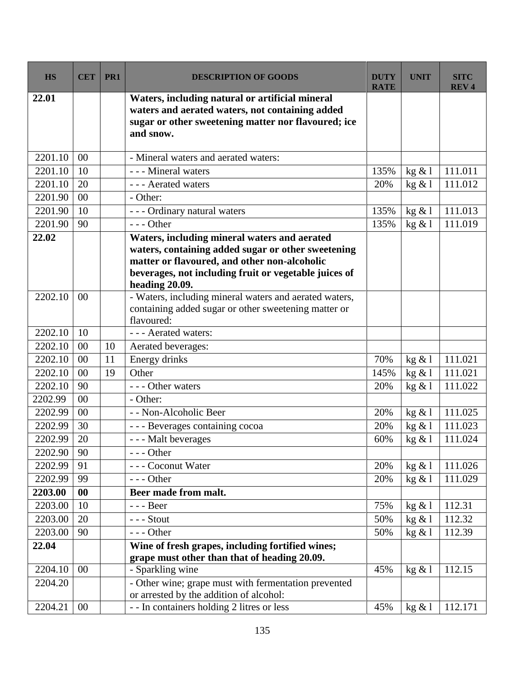| <b>HS</b> | <b>CET</b> | PR1 | <b>DESCRIPTION OF GOODS</b>                                                                                                                                                                                                   | <b>DUTY</b><br><b>RATE</b> | <b>UNIT</b> | <b>SITC</b><br><b>REV4</b> |
|-----------|------------|-----|-------------------------------------------------------------------------------------------------------------------------------------------------------------------------------------------------------------------------------|----------------------------|-------------|----------------------------|
| 22.01     |            |     | Waters, including natural or artificial mineral<br>waters and aerated waters, not containing added<br>sugar or other sweetening matter nor flavoured; ice<br>and snow.                                                        |                            |             |                            |
| 2201.10   | 00         |     | - Mineral waters and aerated waters:                                                                                                                                                                                          |                            |             |                            |
| 2201.10   | 10         |     | - - - Mineral waters                                                                                                                                                                                                          | 135%                       | kg & 1      | 111.011                    |
| 2201.10   | 20         |     | - - - Aerated waters                                                                                                                                                                                                          | 20%                        | kg & 1      | 111.012                    |
| 2201.90   | 00         |     | - Other:                                                                                                                                                                                                                      |                            |             |                            |
| 2201.90   | 10         |     | - - - Ordinary natural waters                                                                                                                                                                                                 | 135%                       | kg & 1      | 111.013                    |
| 2201.90   | 90         |     | $--$ Other                                                                                                                                                                                                                    | 135%                       | kg & 1      | 111.019                    |
| 22.02     |            |     | Waters, including mineral waters and aerated<br>waters, containing added sugar or other sweetening<br>matter or flavoured, and other non-alcoholic<br>beverages, not including fruit or vegetable juices of<br>heading 20.09. |                            |             |                            |
| 2202.10   | 00         |     | - Waters, including mineral waters and aerated waters,<br>containing added sugar or other sweetening matter or<br>flavoured:                                                                                                  |                            |             |                            |
| 2202.10   | 10         |     | - - - Aerated waters:                                                                                                                                                                                                         |                            |             |                            |
| 2202.10   | 00         | 10  | Aerated beverages:                                                                                                                                                                                                            |                            |             |                            |
| 2202.10   | 00         | 11  | Energy drinks                                                                                                                                                                                                                 | 70%                        | kg & 1      | 111.021                    |
| 2202.10   | 00         | 19  | Other                                                                                                                                                                                                                         | 145%                       | kg & 1      | 111.021                    |
| 2202.10   | 90         |     | --- Other waters                                                                                                                                                                                                              | 20%                        | kg & 1      | 111.022                    |
| 2202.99   | 00         |     | - Other:                                                                                                                                                                                                                      |                            |             |                            |
| 2202.99   | 00         |     | - - Non-Alcoholic Beer                                                                                                                                                                                                        | 20%                        | kg & l      | 111.025                    |
| 2202.99   | 30         |     | - - - Beverages containing cocoa                                                                                                                                                                                              | 20%                        | kg & 1      | 111.023                    |
| 2202.99   | 20         |     | - - - Malt beverages                                                                                                                                                                                                          | 60%                        | kg & 1      | 111.024                    |
| 2202.90   | 90         |     | --- Other                                                                                                                                                                                                                     |                            |             |                            |
| 2202.99   | 91         |     | - - - Coconut Water                                                                                                                                                                                                           | 20%                        | kg & 1      | 111.026                    |
| 2202.99   | 99         |     | $--$ Other                                                                                                                                                                                                                    | 20%                        | kg & 1      | 111.029                    |
| 2203.00   | 00         |     | Beer made from malt.                                                                                                                                                                                                          |                            |             |                            |
| 2203.00   | 10         |     | - - - Beer                                                                                                                                                                                                                    | 75%                        | kg & 1      | 112.31                     |
| 2203.00   | 20         |     | $--$ Stout                                                                                                                                                                                                                    | 50%                        | kg & 1      | 112.32                     |
| 2203.00   | 90         |     | $--$ Other                                                                                                                                                                                                                    | 50%                        | kg & 1      | 112.39                     |
| 22.04     |            |     | Wine of fresh grapes, including fortified wines;                                                                                                                                                                              |                            |             |                            |
|           |            |     | grape must other than that of heading 20.09.                                                                                                                                                                                  |                            |             |                            |
| 2204.10   | 00         |     | - Sparkling wine                                                                                                                                                                                                              | 45%                        | kg & 1      | 112.15                     |
| 2204.20   |            |     | - Other wine; grape must with fermentation prevented<br>or arrested by the addition of alcohol:                                                                                                                               |                            |             |                            |
| 2204.21   | 00         |     | - - In containers holding 2 litres or less                                                                                                                                                                                    | 45%                        | kg & 1      | 112.171                    |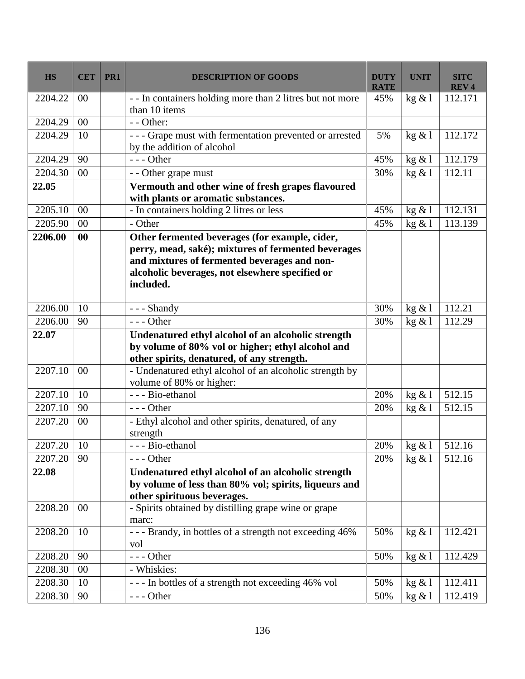| <b>HS</b>    | <b>CET</b> | PR <sub>1</sub> | <b>DESCRIPTION OF GOODS</b>                                                                                                                                                                                           | <b>DUTY</b><br><b>RATE</b> | <b>UNIT</b> | <b>SITC</b><br><b>REV4</b> |
|--------------|------------|-----------------|-----------------------------------------------------------------------------------------------------------------------------------------------------------------------------------------------------------------------|----------------------------|-------------|----------------------------|
| 2204.22      | $00\,$     |                 | - - In containers holding more than 2 litres but not more<br>than 10 items                                                                                                                                            | 45%                        | kg & 1      | 112.171                    |
| 2204.29      | $00\,$     |                 | - - Other:                                                                                                                                                                                                            |                            |             |                            |
| 2204.29      | 10         |                 | - - - Grape must with fermentation prevented or arrested<br>by the addition of alcohol                                                                                                                                | 5%                         | kg & 1      | 112.172                    |
| 2204.29      | 90         |                 | $- -$ Other                                                                                                                                                                                                           | 45%                        | kg & l      | 112.179                    |
| 2204.30      | $00\,$     |                 | - - Other grape must                                                                                                                                                                                                  | 30%                        | kg & 1      | 112.11                     |
| 22.05        |            |                 | Vermouth and other wine of fresh grapes flavoured<br>with plants or aromatic substances.                                                                                                                              |                            |             |                            |
| 2205.10      | $00\,$     |                 | - In containers holding 2 litres or less                                                                                                                                                                              | 45%                        | kg & l      | 112.131                    |
| 2205.90      | $00\,$     |                 | - Other                                                                                                                                                                                                               | 45%                        | kg & 1      | 113.139                    |
| 2206.00      | 00         |                 | Other fermented beverages (for example, cider,<br>perry, mead, saké); mixtures of fermented beverages<br>and mixtures of fermented beverages and non-<br>alcoholic beverages, not elsewhere specified or<br>included. |                            |             |                            |
| 2206.00      | 10         |                 | - - - Shandy                                                                                                                                                                                                          | 30%                        | kg & 1      | 112.21                     |
| 2206.00      | 90         |                 | $--$ Other                                                                                                                                                                                                            | 30%                        | kg & 1      | 112.29                     |
| 22.07        |            |                 | Undenatured ethyl alcohol of an alcoholic strength<br>by volume of 80% vol or higher; ethyl alcohol and<br>other spirits, denatured, of any strength.                                                                 |                            |             |                            |
| 2207.10      | $00\,$     |                 | - Undenatured ethyl alcohol of an alcoholic strength by<br>volume of 80% or higher:                                                                                                                                   |                            |             |                            |
| 2207.10      | 10         |                 | - - - Bio-ethanol                                                                                                                                                                                                     | 20%                        | kg & l      | 512.15                     |
| 2207.10      | 90         |                 | $--$ Other                                                                                                                                                                                                            | 20%                        | kg & 1      | 512.15                     |
| 2207.20      | 00         |                 | - Ethyl alcohol and other spirits, denatured, of any<br>strength                                                                                                                                                      |                            |             |                            |
| 2207.20   10 |            |                 | - - - Bio-ethanol                                                                                                                                                                                                     | 20%                        | kg & l      | 512.16                     |
| 2207.20      | 90         |                 | $--$ Other                                                                                                                                                                                                            | 20%                        | kg & 1      | 512.16                     |
| 22.08        |            |                 | Undenatured ethyl alcohol of an alcoholic strength<br>by volume of less than 80% vol; spirits, liqueurs and<br>other spirituous beverages.                                                                            |                            |             |                            |
| 2208.20      | $00\,$     |                 | - Spirits obtained by distilling grape wine or grape<br>marc:                                                                                                                                                         |                            |             |                            |
| 2208.20      | 10         |                 | --- Brandy, in bottles of a strength not exceeding 46%<br>vol                                                                                                                                                         | 50%                        | kg & 1      | 112.421                    |
| 2208.20      | 90         |                 | --- Other                                                                                                                                                                                                             | 50%                        | kg & 1      | 112.429                    |
| 2208.30      | $00\,$     |                 | - Whiskies:                                                                                                                                                                                                           |                            |             |                            |
| 2208.30      | 10         |                 | --- In bottles of a strength not exceeding 46% vol                                                                                                                                                                    | 50%                        | kg & 1      | 112.411                    |
| 2208.30      | 90         |                 | $--$ Other                                                                                                                                                                                                            | 50%                        | kg & l      | 112.419                    |